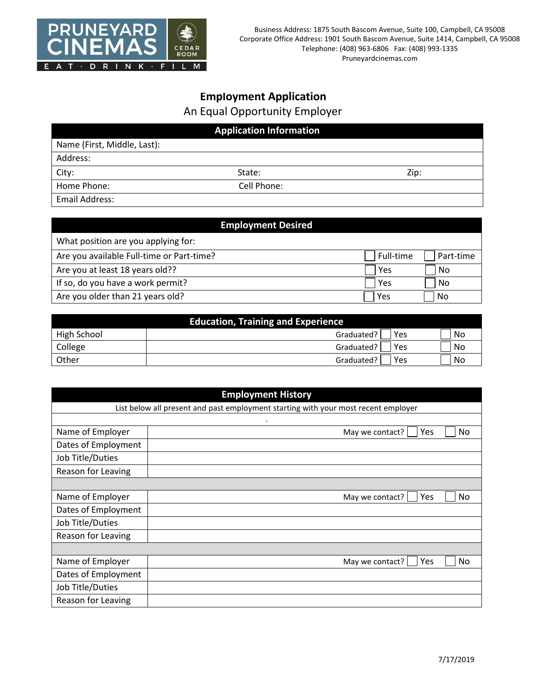

## **Employment Application** An Equal Opportunity Employer

| <b>Application Information</b> |             |      |  |
|--------------------------------|-------------|------|--|
| Name (First, Middle, Last):    |             |      |  |
| Address:                       |             |      |  |
| City:                          | State:      | Zip: |  |
| Home Phone:                    | Cell Phone: |      |  |
| Email Address:                 |             |      |  |

| <b>Employment Desired</b>                 |           |           |  |
|-------------------------------------------|-----------|-----------|--|
| What position are you applying for:       |           |           |  |
| Are you available Full-time or Part-time? | Full-time | Part-time |  |
| Are you at least 18 years old??           | Yes       | No        |  |
| If so, do you have a work permit?         | Yes       | No        |  |
| Are you older than 21 years old?          | Yes       | No        |  |

| <b>Education, Training and Experience</b> |                   |    |  |
|-------------------------------------------|-------------------|----|--|
| High School                               | Yes<br>Graduated? | No |  |
| College                                   | Yes<br>Graduated? | No |  |
| Other                                     | Yes<br>Graduated? | No |  |

| <b>Employment History</b>                                                          |                              |  |
|------------------------------------------------------------------------------------|------------------------------|--|
| List below all present and past employment starting with your most recent employer |                              |  |
|                                                                                    | $\bullet$                    |  |
| Name of Employer                                                                   | No<br>May we contact?<br>Yes |  |
| Dates of Employment                                                                |                              |  |
| Job Title/Duties                                                                   |                              |  |
| Reason for Leaving                                                                 |                              |  |
|                                                                                    |                              |  |
| Name of Employer                                                                   | No<br>May we contact?<br>Yes |  |
| Dates of Employment                                                                |                              |  |
| Job Title/Duties                                                                   |                              |  |
| Reason for Leaving                                                                 |                              |  |
|                                                                                    |                              |  |
| Name of Employer                                                                   | May we contact?<br>No<br>Yes |  |
| Dates of Employment                                                                |                              |  |
| Job Title/Duties                                                                   |                              |  |
| Reason for Leaving                                                                 |                              |  |